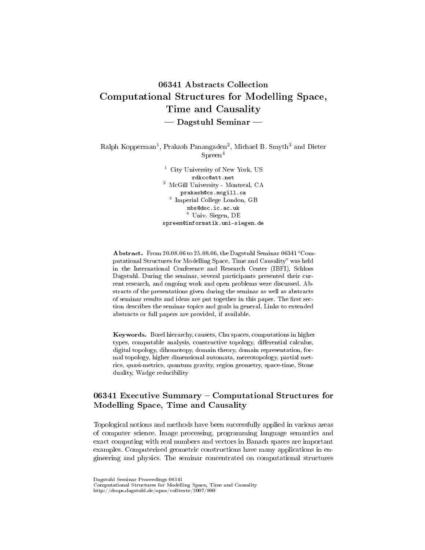# 06341 Abstracts Collection Computational Structures for Modelling Space, Time and Causality  $-$  Dagstuhl Seminar  $-$

Ralph Kopperman<sup>1</sup>, Prakash Panangaden<sup>2</sup>, Michael B. Smyth<sup>3</sup> and Dieter Spreen<sup>4</sup>

> <sup>1</sup> City University of New York, US rdkcc@att.net <sup>2</sup> McGill University - Montreal, CA prakash@cs.mcgill.ca 3 Imperial College London, GB mbs@doc.ic.ac.uk <sup>4</sup> Univ. Siegen, DE spreen@informatik.uni-siegen.de

Abstract. From 20.08.06 to 25.08.06, the Dagstuhl Seminar 06341 "Computational Structures for Modelling Space, Time and Causality" was held in the International Conference and Research Center (IBFI), Schloss Dagstuhl. During the seminar, several participants presented their current research, and ongoing work and open problems were discussed. Abstracts of the presentations given during the seminar as well as abstracts of seminar results and ideas are put together in this paper. The first section describes the seminar topics and goals in general. Links to extended abstracts or full papers are provided, if available.

Keywords. Borel hierarchy, causets, Chu spaces, computations in higher types, computable analysis, constructive topology, differential calculus, digital topology, dihomotopy, domain theory, domain representation, formal topology, higher dimensional automata, mereotopology, partial metrics, quasi-metrics, quantum gravity, region geometry, space-time, Stone duality, Wadge reducibility

# 06341 Executive Summary – Computational Structures for Modelling Space, Time and Causality

Topological notions and methods have been successfully applied in various areas of computer science. Image processing, programming language semantics and exact computing with real numbers and vectors in Banach spaces are important examples. Computerized geometric constructions have many applications in engineering and physics. The seminar concentrated on computational structures

Dagstuhl Seminar Proceedings 06341

Computational Structures for Modelling Space, Time and Causality http://drops.dagstuhl.de/opus/volltexte/2007/900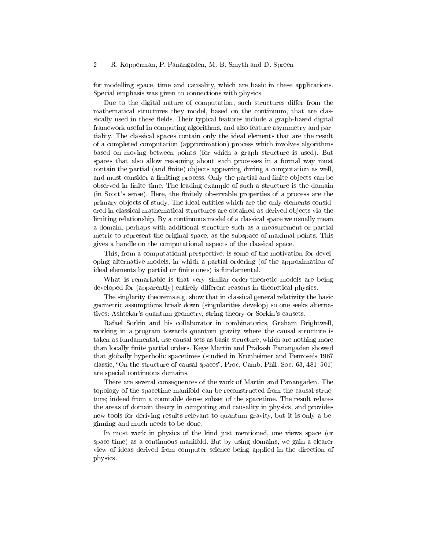for modelling space, time and causality, which are basic in these applications. Special emphasis was given to connections with physics.

Due to the digital nature of computation, such structures differ from the mathematical structures they model, based on the continuum, that are classically used in these fields. Their typical features include a graph-based digital framework useful in computing algorithms, and also feature asymmetry and partiality. The classical spaces contain only the ideal elements that are the result of a completed computation (approximation) process which involves algorithms based on moving between points (for which a graph structure is used). But spaces that also allow reasoning about such processes in a formal way must contain the partial (and finite) objects appearing during a computation as well, and must consider a limiting process. Only the partial and finite objects can be observed in finite time. The leading example of such a structure is the domain (in Scott's sense). Here, the finitely observable properties of a process are the primary objects of study. The ideal entities which are the only elements considered in classical mathematical structures are obtained as derived objects via the limiting relationship. By a continuous model of a classical space we usually mean a domain, perhaps with additional structure such as a measurement or partial metric to represent the original space, as the subspace of maximal points. This gives a handle on the computational aspects of the classical space.

This, from a computational perspective, is some of the motivation for developing alternative models, in which a partial ordering (of the approximation of ideal elements by partial or finite ones) is fundamental.

What is remarkable is that very similar order-theoretic models are being developed for (apparently) entirely different reasons in theoretical physics.

The singlarity theorems e.g. show that in classical general relativity the basic geometric assumptions break down (singularities develop) so one seeks alternatives: Ashtekar's quantum geometry, string theory or Sorkin's causets.

Rafael Sorkin and his collaborator in combinatorics, Graham Brightwell, working in a program towards quantum gravity where the causal structure is taken as fundamental, use causal sets as basic structure, which are nothing more than locally finite partial orders. Keye Martin and Prakash Panangaden showed that globally hyperbolic spacetimes (studied in Kronheimer and Penrose's 1967 classic, "On the structure of causal spaces", Proc. Camb. Phil. Soc.  $63, 481-501$ ) are special continuous domains.

There are several consequences of the work of Martin and Panangaden. The topology of the spacetime manifold can be reconstructed from the causal structure; indeed from a countable dense subset of the spacetime. The result relates the areas of domain theory in computing and causality in physics, and provides new tools for deriving results relevant to quantum gravity, but it is only a beginning and much needs to be done.

In most work in physics of the kind just mentioned, one views space (or space-time) as a continuous manifold. But by using domains, we gain a clearer view of ideas derived from computer science being applied in the direction of physics.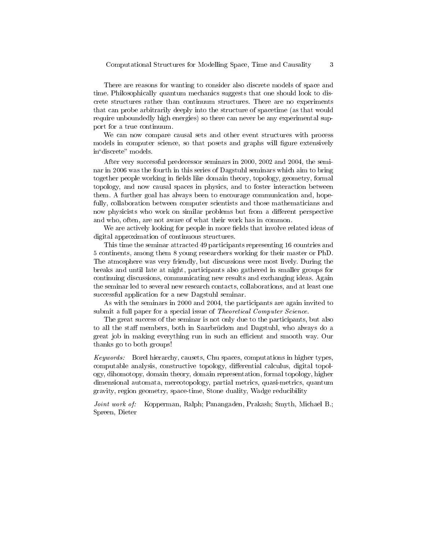There are reasons for wanting to consider also discrete models of space and time. Philosophically quantum mechanics suggests that one should look to discrete structures rather than continuum structures. There are no experiments that can probe arbitrarily deeply into the structure of spacetime (as that would require unboundedly high energies) so there can never be any experimental support for a true continuum.

We can now compare causal sets and other event structures with process models in computer science, so that posets and graphs will figure extensively in"discrete" models.

After very successful predecessor seminars in 2000, 2002 and 2004, the seminar in 2006 was the fourth in this series of Dagstuhl seminars which aim to bring together people working in fields like domain theory, topology, geometry, formal topology, and now causal spaces in physics, and to foster interaction between them. A further goal has always been to encourage communication and, hopefully, collaboration between computer scientists and those mathematicians and now physicists who work on similar problems but from a different perspective and who, often, are not aware of what their work has in common.

We are actively looking for people in more fields that involve related ideas of digital approximation of continuous structures.

This time the seminar attracted 49 participants representing 16 countries and 5 continents, among them 8 young researchers working for their master or PhD. The atmosphere was very friendly, but discussions were most lively. During the breaks and until late at night, participants also gathered in smaller groups for continuing discussions, communicating new results and exchanging ideas. Again the seminar led to several new research contacts, collaborations, and at least one successful application for a new Dagstuhl seminar.

As with the seminars in 2000 and 2004, the participants are again invited to submit a full paper for a special issue of *Theoretical Computer Science*.

The great success of the seminar is not only due to the participants, but also to all the staff members, both in Saarbrücken and Dagstuhl, who always do a great job in making everything run in such an efficient and smooth way. Our thanks go to both groups!

Keywords: Borel hierarchy, causets, Chu spaces, computations in higher types, computable analysis, constructive topology, differential calculus, digital topology, dihomotopy, domain theory, domain representation, formal topology, higher dimensional automata, mereotopology, partial metrics, quasi-metrics, quantum gravity, region geometry, space-time, Stone duality, Wadge reducibility

Joint work of: Kopperman, Ralph; Panangaden, Prakash; Smyth, Michael B.; Spreen, Dieter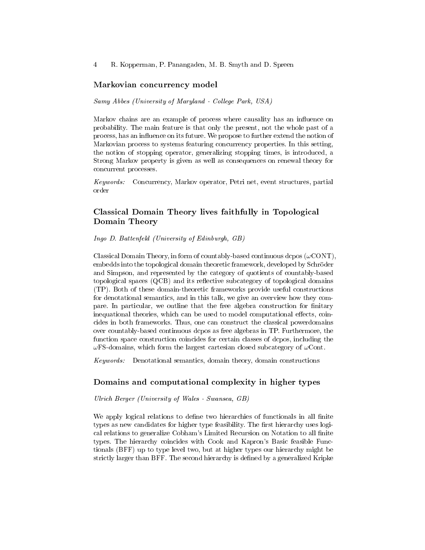#### Markovian concurrency model

#### Samy Abbes (University of Maryland - College Park, USA)

Markov chains are an example of process where causality has an influence on probability. The main feature is that only the present, not the whole past of a process, has an influence on its future. We propose to further extend the notion of Markovian process to systems featuring concurrency properties. In this setting, the notion of stopping operator, generalizing stopping times, is introduced, a Strong Markov property is given as well as consequences on renewal theory for concurrent processes.

Keywords: Concurrency, Markov operator, Petri net, event structures, partial order

# Classical Domain Theory lives faithfully in Topological Domain Theory

#### Ingo D. Battenfeld (University of Edinburgh, GB)

Classical Domain Theory, in form of countably-based continuous dcpos  $(\omega$ CONT), embedds into the topological domain theoretic framework, developed by Schröder and Simpson, and represented by the category of quotients of countably-based topological spaces  $(QCB)$  and its reflective subcategory of topological domains (TP). Both of these domain-theoretic frameworks provide useful constructions for denotational semantics, and in this talk, we give an overview how they compare. In particular, we outline that the free algebra construction for finitary inequational theories, which can be used to model computational effects, coincides in both frameworks. Thus, one can construct the classical powerdomains over countably-based continuous dcpos as free algebras in TP. Furthermore, the function space construction coincides for certain classes of dcpos, including the  $\omega$ FS-domains, which form the largest cartesian closed subcategory of  $\omega$ Cont.

Keywords: Denotational semantics, domain theory, domain constructions

### Domains and computational complexity in higher types

Ulrich Berger (University of Wales - Swansea, GB)

We apply logical relations to define two hierarchies of functionals in all finite types as new candidates for higher type feasibility. The first hierarchy uses logical relations to generalize Cobham's Limited Recursion on Notation to all nite types. The hierarchy coincides with Cook and Kapron's Basic feasible Functionals (BFF) up to type level two, but at higher types our hierarchy might be strictly larger than BFF. The second hierarchy is dened by a generalized Kripke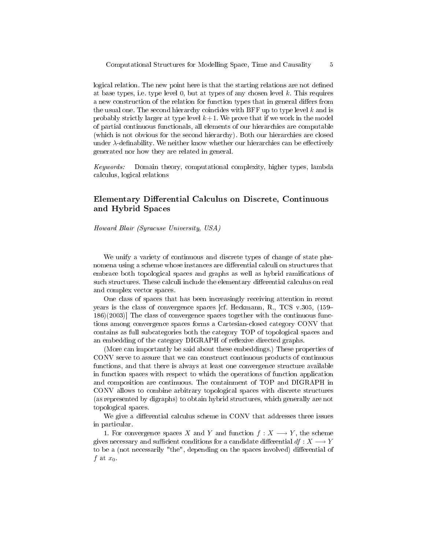logical relation. The new point here is that the starting relations are not defined at base types, i.e. type level 0, but at types of any chosen level  $k$ . This requires a new construction of the relation for function types that in general differs from the usual one. The second hierarchy coincides with BFF up to type level  $k$  and is probably strictly larger at type level  $k+1$ . We prove that if we work in the model of partial continuous functionals, all elements of our hierarchies are computable (which is not obvious for the second hierarchy). Both our hierarchies are closed under  $\lambda$ -definability. We neither know whether our hierarchies can be effectively generated nor how they are related in general.

Keywords: Domain theory, computational complexity, higher types, lambda calculus, logical relations

# Elementary Differential Calculus on Discrete, Continuous and Hybrid Spaces

Howard Blair (Syracuse University, USA)

We unify a variety of continuous and discrete types of change of state phenomena using a scheme whose instances are differential calculi on structures that embrace both topological spaces and graphs as well as hybrid ramications of such structures. These calculi include the elementary differential calculus on real and complex vector spaces.

One class of spaces that has been increasingly receiving attention in recent years is the class of convergence spaces [cf. Heckmann, R., TCS v.305, (159 186)(2003)] The class of convergence spaces together with the continuous functions among convergence spaces forms a Cartesian-closed category CONV that contains as full subcategories both the category TOP of topological spaces and an embedding of the category DIGRAPH of reflexive directed graphs.

(More can importantly be said about these embeddings.) These properties of CONV serve to assure that we can construct continuous products of continuous functions, and that there is always at least one convergence structure available in function spaces with respect to which the operations of function application and composition are continuous. The containment of TOP and DIGRAPH in CONV allows to combine arbitrary topological spaces with discrete structures (as represented by digraphs) to obtain hybrid structures, which generally are not topological spaces.

We give a differential calculus scheme in CONV that addresses three issues in particular.

1. For convergence spaces X and Y and function  $f: X \longrightarrow Y$ , the scheme gives necessary and sufficient conditions for a candidate differential  $df : X \longrightarrow Y$ to be a (not necessarily "the", depending on the spaces involved) differential of f at  $x_0$ .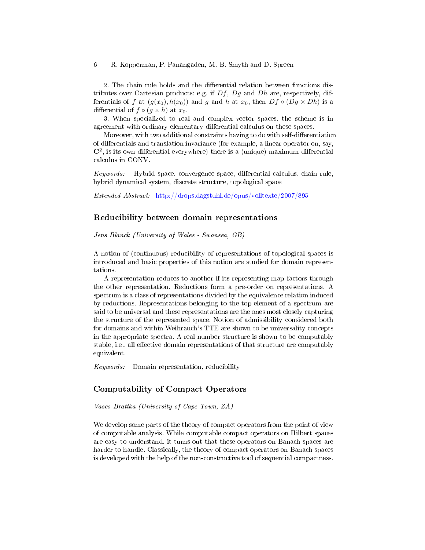2. The chain rule holds and the differential relation between functions distributes over Cartesian products: e.g. if  $Df$ ,  $Dg$  and  $Dh$  are, respectively, differentials of f at  $(g(x_0), h(x_0))$  and g and h at  $x_0$ , then  $Df \circ (Dg \times Dh)$  is a differential of  $f \circ (g \times h)$  at  $x_0$ .

3. When specialized to real and complex vector spaces, the scheme is in agreement with ordinary elementary differential calculus on these spaces.

Moreover, with two additional constraints having to do with self-differentiation of differentials and translation invariance (for example, a linear operator on, say,  $\mathbb{C}^2$ , is its own differential everywhere) there is a (unique) maximum differential calculus in CONV.

Keywords: Hybrid space, convergence space, differential calculus, chain rule, hybrid dynamical system, discrete structure, topological space

Extended Abstract: <http://drops.dagstuhl.de/opus/volltexte/2007/895>

### Reducibility between domain representations

Jens Blanck (University of Wales - Swansea, GB)

A notion of (continuous) reducibility of representations of topological spaces is introduced and basic properties of this notion are studied for domain representations.

A representation reduces to another if its representing map factors through the other representation. Reductions form a pre-order on representations. A spectrum is a class of representations divided by the equivalence relation induced by reductions. Representations belonging to the top element of a spectrum are said to be universal and these representations are the ones most closely capturing the structure of the represented space. Notion of admissibility considered both for domains and within Weihrauch's TTE are shown to be universality concepts in the appropriate spectra. A real number structure is shown to be computably stable, i.e., all effective domain representations of that structure are computably equivalent.

Keywords: Domain representation, reducibility

# Computability of Compact Operators

Vasco Brattka (University of Cape Town, ZA)

We develop some parts of the theory of compact operators from the point of view of computable analysis. While computable compact operators on Hilbert spaces are easy to understand, it turns out that these operators on Banach spaces are harder to handle. Classically, the theory of compact operators on Banach spaces is developed with the help of the non-constructive tool of sequential compactness.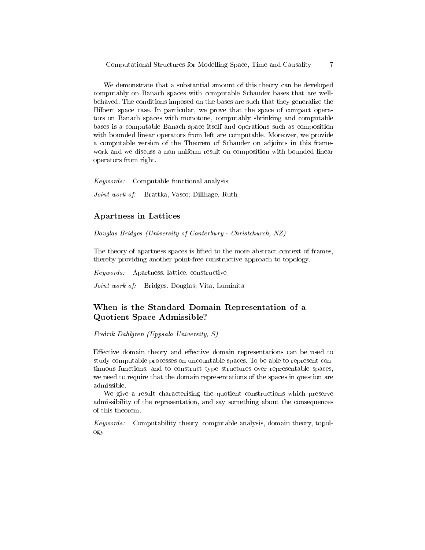We demonstrate that a substantial amount of this theory can be developed computably on Banach spaces with computable Schauder bases that are wellbehaved. The conditions imposed on the bases are such that they generalize the Hilbert space case. In particular, we prove that the space of compact operators on Banach spaces with monotone, computably shrinking and computable bases is a computable Banach space itself and operations such as composition with bounded linear operators from left are computable. Moreover, we provide a computable version of the Theorem of Schauder on adjoints in this framework and we discuss a non-uniform result on composition with bounded linear operators from right.

Keywords: Computable functional analysis

Joint work of: Brattka, Vasco; Dillhage, Ruth

#### Apartness in Lattices

Douglas Bridges (University of Canterbury - Christchurch, NZ)

The theory of apartness spaces is lifted to the more abstract context of frames, thereby providing another point-free constructive approach to topology.

Keywords: Apartness, lattice, constructive

Joint work of: Bridges, Douglas; Vita, Luminita

# When is the Standard Domain Representation of a Quotient Space Admissible?

Fredrik Dahlgren (Uppsala University, S)

Effective domain theory and effective domain representations can be used to study computable processes on uncountable spaces. To be able to represent continuous functions, and to construct type structures over representable spaces, we need to require that the domain representations of the spaces in question are admissible.

We give a result characterising the quotient constructions which preserve admissibility of the representation, and say something about the consequences of this theorem.

Keywords: Computability theory, computable analysis, domain theory, topology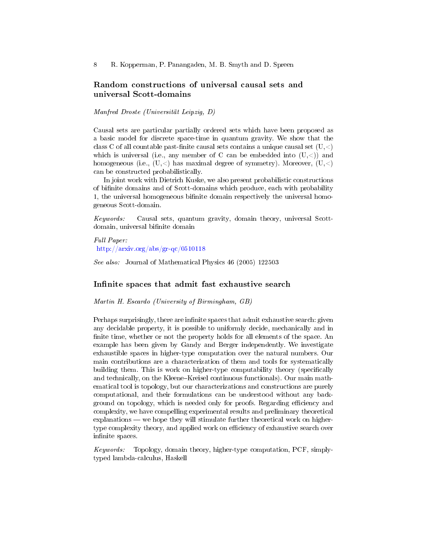# Random constructions of universal causal sets and universal Scott-domains

Manfred Droste (Universität Leipzig, D)

Causal sets are particular partially ordered sets which have been proposed as a basic model for discrete space-time in quantum gravity. We show that the class C of all countable past-finite causal sets contains a unique causal set  $(U, \leq)$ which is universal (i.e., any member of C can be embedded into  $(U, \leq)$ ) and homogeneous (i.e.,  $(U, <)$ ) has maximal degree of symmetry). Moreover,  $(U, <)$ can be constructed probabilistically.

In joint work with Dietrich Kuske, we also present probabilistic constructions of binite domains and of Scott-domains which produce, each with probability 1, the universal homogeneous binite domain respectively the universal homogeneous Scott-domain.

Keywords: Causal sets, quantum gravity, domain theory, universal Scottdomain, universal bifinite domain

Full Paper: <http://arxiv.org/abs/gr-qc/0510118>

See also: Journal of Mathematical Physics 46 (2005) 122503

### Infinite spaces that admit fast exhaustive search

Martin H. Escardo (University of Birmingham, GB)

Perhaps surprisingly, there are infinite spaces that admit exhaustive search: given any decidable property, it is possible to uniformly decide, mechanically and in finite time, whether or not the property holds for all elements of the space. An example has been given by Gandy and Berger independently. We investigate exhaustible spaces in higher-type computation over the natural numbers. Our main contributions are a characterization of them and tools for systematically building them. This is work on higher-type computability theory (specifically and technically, on the Kleene-Kreisel continuous functionals). Our main mathematical tool is topology, but our characterizations and constructions are purely computational, and their formulations can be understood without any background on topology, which is needed only for proofs. Regarding efficiency and complexity, we have compelling experimental results and preliminary theoretical  $explanations — we hope they will stimulate further theoretical work on higher$ type complexity theory, and applied work on efficiency of exhaustive search over infinite spaces.

Keywords: Topology, domain theory, higher-type computation, PCF, simplytyped lambda-calculus, Haskell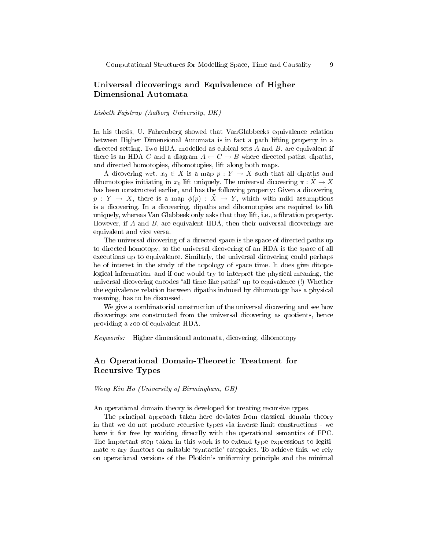# Universal dicoverings and Equivalence of Higher Dimensional Automata

### Lisbeth Fajstrup (Aalborg University, DK)

In his thesis, U. Fahrenberg showed that VanGlabbeeks equivalence relation between Higher Dimensional Automata is in fact a path lifting property in a directed setting. Two HDA, modelled as cubical sets  $A$  and  $B$ , are equivalent if there is an HDA C and a diagram  $A \leftarrow C \rightarrow B$  where directed paths, dipaths, and directed homotopies, dihomotopies, lift along both maps.

A dicovering wrt.  $x_0 \in X$  is a map  $p: Y \to X$  such that all dipaths and dihomotopies initiating in  $x_0$  lift uniquely. The universal dicovering  $\pi : X \to X$ has been constructed earlier, and has the following property: Given a dicovering  $p: Y \to X$ , there is a map  $\phi(p): \tilde{X} \to Y$ , which with mild assumptions is a dicovering. In a dicovering, dipaths and dihomotopies are required to lift uniquely, whereas Van Glabbeek only asks that they lift, i.e., a fibration property. However, if A and B, are equivalent HDA, then their universal dicoverings are equivalent and vice versa.

The universal dicovering of a directed space is the space of directed paths up to directed homotopy, so the universal dicovering of an HDA is the space of all executions up to equivalence. Similarly, the universal dicovering could perhaps be of interest in the study of the topology of space time. It does give ditopological information, and if one would try to interpret the physical meaning, the universal dicovering encodes "all time-like paths" up to equivalence (!) Whether the equivalence relation between dipaths induced by dihomotopy has a physical meaning, has to be discussed.

We give a combinatorial construction of the universal dicovering and see how dicoverings are constructed from the universal dicovering as quotients, hence providing a zoo of equivalent HDA.

Keywords: Higher dimensional automata, dicovering, dihomotopy

# An Operational Domain-Theoretic Treatment for Recursive Types

Weng Kin Ho (University of Birmingham, GB)

An operational domain theory is developed for treating recursive types.

The principal approach taken here deviates from classical domain theory in that we do not produce recursive types via inverse limit constructions - we have it for free by working directlly with the operational semantics of FPC. The important step taken in this work is to extend type expressions to legitimate  $n$ -ary functors on suitable 'syntactic' categories. To achieve this, we rely on operational versions of the Plotkin's uniformity principle and the minimal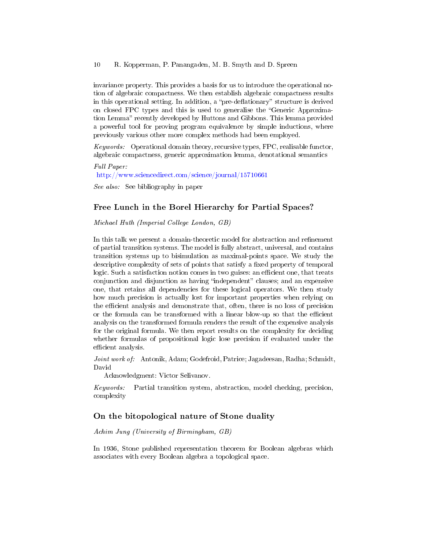invariance property. This provides a basis for us to introduce the operational notion of algebraic compactness. We then establish algebraic compactness results in this operational setting. In addition, a "pre-deflationary" structure is derived on closed FPC types and this is used to generalise the "Generic Approximation Lemma" recently developed by Huttons and Gibbons. This lemma provided a powerful tool for proving program equivalence by simple inductions, where previously various other more complex methods had been employed.

*Keywords:* Operational domain theory, recursive types,  $FPC$ , realisable functor, algebraic compactness, generic approximation lemma, denotational semantics

Full Paper: [http://www.sciencedirect.com/science/journal/15710661](http://www.sciencedirect.com/science/journal/15710661 )

See also: See bibliography in paper

### Free Lunch in the Borel Hierarchy for Partial Spaces?

Michael Huth (Imperial College London, GB)

In this talk we present a domain-theoretic model for abstraction and refinement of partial transition systems. The model is fully abstract, universal, and contains transition systems up to bisimulation as maximal-points space. We study the descriptive complexity of sets of points that satisfy a fixed property of temporal logic. Such a satisfaction notion comes in two guises: an efficient one, that treats conjunction and disjunction as having "independent" clauses; and an expensive one, that retains all dependencies for these logical operators. We then study how much precision is actually lost for important properties when relying on the efficient analysis and demonstrate that, often, there is no loss of precision or the formula can be transformed with a linear blow-up so that the efficient analysis on the transformed formula renders the result of the expensive analysis for the original formula. We then report results on the complexity for deciding whether formulas of propositional logic lose precision if evaluated under the efficient analysis.

Joint work of: Antonik, Adam; Godefroid, Patrice; Jagadeesan, Radha; Schmidt, David

Acknowledgment: Victor Selivanov.

Keywords: Partial transition system, abstraction, model checking, precision, complexity

# On the bitopological nature of Stone duality

Achim Jung (University of Birmingham, GB)

In 1936, Stone published representation theorem for Boolean algebras which associates with every Boolean algebra a topological space.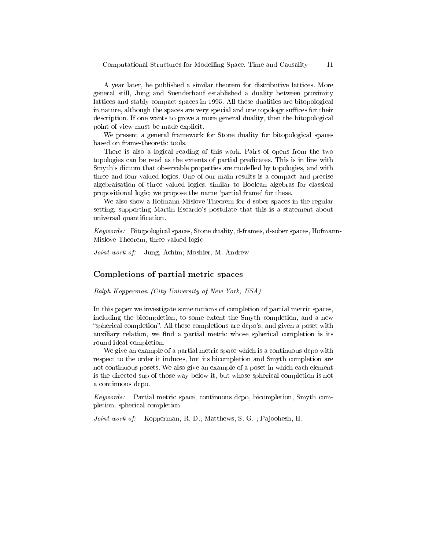A year later, he published a similar theorem for distributive lattices. More general still, Jung and Suenderhauf established a duality between proximity lattices and stably compact spaces in 1995. All these dualities are bitopological in nature, although the spaces are very special and one topology suffices for their description. If one wants to prove a more general duality, then the bitopological point of view must be made explicit.

We present a general framework for Stone duality for bitopological spaces based on frame-theoretic tools.

There is also a logical reading of this work. Pairs of opens from the two topologies can be read as the extents of partial predicates. This is in line with Smyth's dictum that observable properties are modelled by topologies, and with three and four-valued logics. One of our main results is a compact and precise algebraisation of three valued logics, similar to Boolean algebras for classical propositional logic; we propose the name 'partial frame' for these.

We also show a Hofmann-Mislove Theorem for d-sober spaces in the regular setting, supporting Martin Escardo's postulate that this is a statement about universal quantification.

Keywords: Bitopological spaces, Stone duality, d-frames, d-sober spaces, Hofmann-Mislove Theorem, three-valued logic

Joint work of: Jung, Achim; Moshier, M. Andrew

### Completions of partial metric spaces

Ralph Kopperman (City University of New York, USA)

In this paper we investigate some notions of completion of partial metric spaces, including the bicompletion, to some extent the Smyth completion, and a new "spherical completion". All these completions are dcpo's, and given a poset with auxiliary relation, we find a partial metric whose spherical completion is its round ideal completion.

We give an example of a partial metric space which is a continuous dcpo with respect to the order it induces, but its bicompletion and Smyth completion are not continuous posets. We also give an example of a poset in which each element is the directed sup of those way-below it, but whose spherical completion is not a continuous dcpo.

Keywords: Partial metric space, continuous dcpo, bicompletion, Smyth completion, spherical completion

Joint work of: Kopperman, R. D.; Matthews, S. G. ; Pajoohesh, H.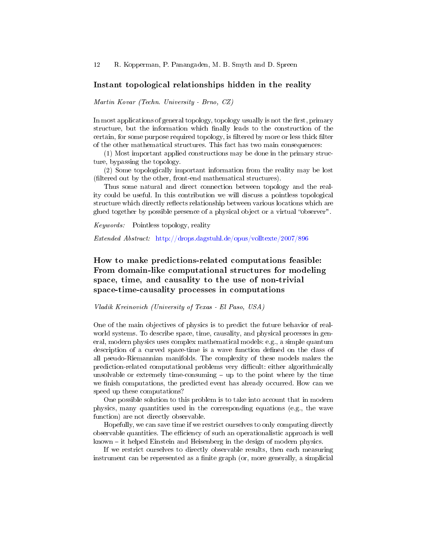#### Instant topological relationships hidden in the reality

Martin Kovar (Techn. University - Brno, CZ)

In most applications of general topology, topology usually is not the first, primary structure, but the information which finally leads to the construction of the certain, for some purpose required topology, is filtered by more or less thick filter of the other mathematical structures. This fact has two main consequences:

(1) Most important applied constructions may be done in the primary structure, bypassing the topology.

(2) Some topologically important information from the reality may be lost (filtered out by the other, front-end mathematical structures).

Thus some natural and direct connection between topology and the reality could be useful. In this contribution we will discuss a pointless topological structure which directly reflects relationship between various locations which are glued together by possible presence of a physical object or a virtual "observer".

Keywords: Pointless topology, reality

Extended Abstract: <http://drops.dagstuhl.de/opus/volltexte/2007/896>

# How to make predictions-related computations feasible: From domain-like computational structures for modeling space, time, and causality to the use of non-trivial space-time-causality processes in computations

#### Vladik Kreinovich (University of Texas - El Paso, USA)

One of the main objectives of physics is to predict the future behavior of realworld systems. To describe space, time, causality, and physical processes in general, modern physics uses complex mathematical models: e.g., a simple quantum description of a curved space-time is a wave function defined on the class of all pseudo-Riemannian manifolds. The complexity of these models makes the prediction-related computational problems very difficult: either algorithmically unsolvable or extremely time-consuming  $-$  up to the point where by the time we finish computations, the predicted event has already occurred. How can we speed up these computations?

One possible solution to this problem is to take into account that in modern physics, many quantities used in the corresponding equations (e.g., the wave function) are not directly observable.

Hopefully, we can save time if we restrict ourselves to only computing directly observable quantities. The efficiency of such an operationalistic approach is well  $known - it helped Einstein and Heisenberg in the design of modern physics.$ 

If we restrict ourselves to directly observable results, then each measuring instrument can be represented as a finite graph (or, more generally, a simplicial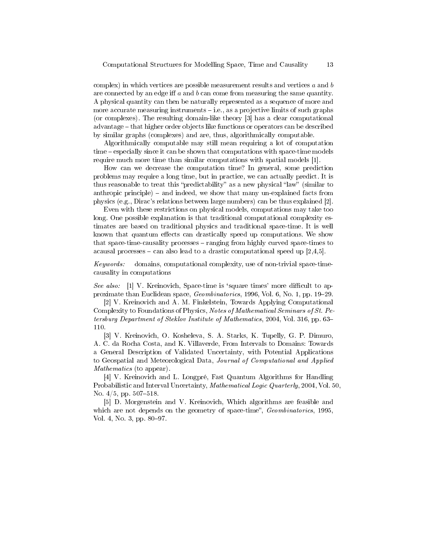complex) in which vertices are possible measurement results and vertices  $a$  and  $b$ are connected by an edge iff  $a$  and  $b$  can come from measuring the same quantity. A physical quantity can then be naturally represented as a sequence of more and more accurate measuring instruments  $-i.e.,$  as a projective limits of such graphs (or complexes). The resulting domain-like theory [3] has a clear computational advantage – that higher order objects like functions or operators can be described by similar graphs (complexes) and are, thus, algorithmically computable.

Algorithmically computable may still mean requiring a lot of computation time – especially since it can be shown that computations with space-time models require much more time than similar computations with spatial models [1].

How can we decrease the computation time? In general, some prediction problems may require a long time, but in practice, we can actually predict. It is thus reasonable to treat this "predictability" as a new physical "law" (similar to anthropic principle)  $-$  and indeed, we show that many un-explained facts from physics (e.g., Dirac's relations between large numbers) can be thus explained [2].

Even with these restrictions on physical models, computations may take too long. One possible explanation is that traditional computational complexity estimates are based on traditional physics and traditional space-time. It is well known that quantum effects can drastically speed up computations. We show that space-time-causality processes – ranging from highly curved space-times to acausal processes – can also lead to a drastic computational speed up  $[2,4,5]$ .

Keywords: domains, computational complexity, use of non-trivial space-timecausality in computations

See also:  $[1]$  V. Kreinovich, Space-time is 'square times' more difficult to approximate than Euclidean space, Geombinatorics, 1996, Vol. 6, No. 1, pp. 19–29.

[2] V. Kreinovich and A. M. Finkelstein, Towards Applying Computational Complexity to Foundations of Physics, Notes of Mathematical Seminars of St. Petersburg Department of Steklov Institute of Mathematics, 2004, Vol. 316, pp. 63 110.

[3] V. Kreinovich, O. Kosheleva, S. A. Starks, K. Tupelly, G. P. Dimuro, A. C. da Rocha Costa, and K. Villaverde, From Intervals to Domains: Towards a General Description of Validated Uncertainty, with Potential Applications to Geospatial and Meteorological Data, Journal of Computational and Applied Mathematics (to appear).

[4] V. Kreinovich and L. Longpré, Fast Quantum Algorithms for Handling Probabilistic and Interval Uncertainty, Mathematical Logic Quarterly, 2004, Vol. 50, No.  $4/5$ , pp.  $507-518$ .

[5] D. Morgenstein and V. Kreinovich, Which algorithms are feasible and which are not depends on the geometry of space-time",  $Geombinatorics$ , 1995, Vol. 4, No. 3, pp. 80-97.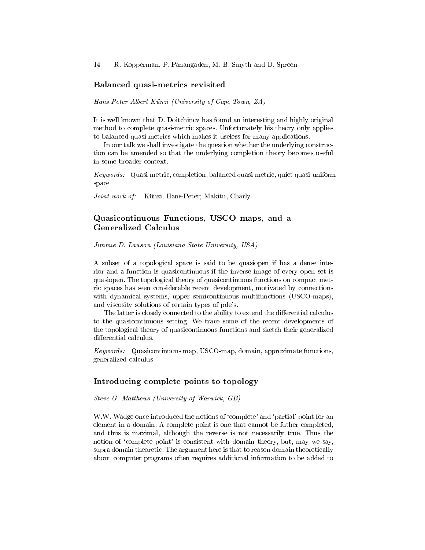#### Balanced quasi-metrics revisited

Hans-Peter Albert Künzi (University of Cape Town, ZA)

It is well known that D. Doitchinov has found an interesting and highly original method to complete quasi-metric spaces. Unfortunately his theory only applies to balanced quasi-metrics which makes it useless for many applications.

In our talk we shall investigate the question whether the underlying construction can be amended so that the underlying completion theory becomes useful in some broader context.

Keywords: Quasi-metric, completion, balanced quasi-metric, quiet quasi-uniform space

Joint work of: Künzi, Hans-Peter; Makitu, Charly

# Quasicontinuous Functions, USCO maps, and a Generalized Calculus

Jimmie D. Lawson (Louisiana State University, USA)

A subset of a topological space is said to be quasiopen if has a dense interior and a function is quasicontinuous if the inverse image of every open set is quasiopen. The topological theory of quasicontinuous functions on compact metric spaces has seen considerable recent development, motivated by connections with dynamical systems, upper semicontinuous multifunctions (USCO-maps), and viscosity solutions of certain types of pde's.

The latter is closely connected to the ability to extend the differential calculus to the quasicontinuous setting. We trace some of the recent developments of the topological theory of quasicontinuous functions and sketch their generalized differential calculus.

Keywords: Quasicontinuous map, USCO-map, domain, approximate functions, generalized calculus

#### Introducing complete points to topology

Steve G. Matthews (University of Warwick, GB)

W.W. Wadge once introduced the notions of 'complete' and 'partial' point for an element in a domain. A complete point is one that cannot be futher completed, and thus is maximal, although the reverse is not necessarily true. Thus the notion of 'complete point' is consistent with domain theory, but, may we say, supra domain theoretic. The argument here is that to reason domain theoretically about computer programs often requires additional information to be added to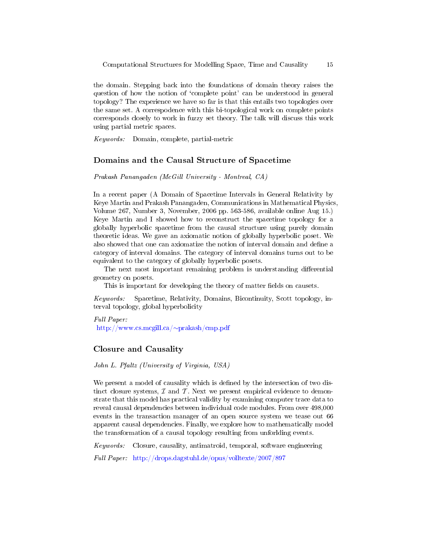the domain. Stepping back into the foundations of domain theory raises the question of how the notion of `complete point' can be understood in general topology? The experience we have so far is that this entails two topologies over the same set. A correspodence with this bi-topological work on complete points corresponds closely to work in fuzzy set theory. The talk will discuss this work using partial metric spaces.

Keywords: Domain, complete, partial-metric

### Domains and the Causal Structure of Spacetime

Prakash Panangaden (McGill University - Montreal, CA)

In a recent paper (A Domain of Spacetime Intervals in General Relativity by Keye Martin and Prakash Panangaden, Communications in Mathematical Physics, Volume 267, Number 3, November, 2006 pp. 563-586, available online Aug 15.) Keye Martin and I showed how to reconstruct the spacetime topology for a globally hyperbolic spacetime from the causal structure using purely domain theoretic ideas. We gave an axiomatic notion of globally hyperbolic poset. We also showed that one can axiomatize the notion of interval domain and define a category of interval domains. The category of interval domains turns out to be equivalent to the category of globally hyperbolic posets.

The next most important remaining problem is understanding differential geometry on posets.

This is important for developing the theory of matter fields on causets.

Keywords: Spacetime, Relativity, Domains, Bicontinuity, Scott topology, interval topology, global hyperbolicity

Full Paper: [http://www.cs.mcgill.ca/](http://www.cs.mcgill.ca/~prakash/cmp.pdf)∼prakash/cmp.pdf

### Closure and Causality

John L. Pfaltz (University of Virginia, USA)

We present a model of causality which is defined by the intersection of two distinct closure systems,  $\mathcal I$  and  $\mathcal T$ . Next we present empirical evidence to demonstrate that this model has practical validity by examining computer trace data to reveal causal dependencies between individual code modules. From over 498,000 events in the transaction manager of an open source system we tease out 66 apparent causal dependencies. Finally, we explore how to mathematically model the transformation of a causal topology resulting from unforlding events.

Keywords: Closure, causality, antimatroid, temporal, software engineering

Full Paper: <http://drops.dagstuhl.de/opus/volltexte/2007/897>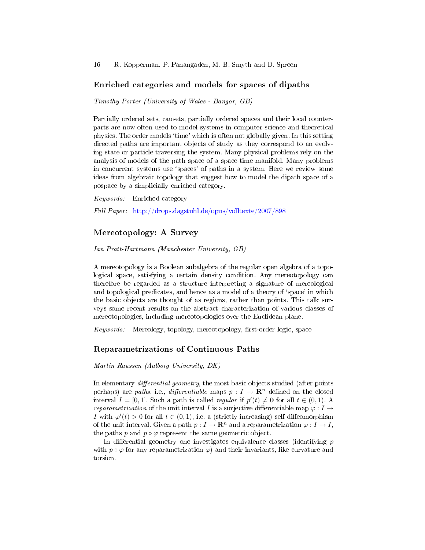#### Enriched categories and models for spaces of dipaths

Timothy Porter (University of Wales - Bangor, GB)

Partially ordered sets, causets, partially ordered spaces and their local counterparts are now often used to model systems in computer science and theoretical physics. The order models `time' which is often not globally given. In this setting directed paths are important objects of study as they correspond to an evolving state or particle traversing the system. Many physical problems rely on the analysis of models of the path space of a space-time manifold. Many problems in concurrent systems use 'spaces' of paths in a system. Here we review some ideas from algebraic topology that suggest how to model the dipath space of a pospace by a simplicially enriched category.

Keywords: Enriched category

Full Paper: <http://drops.dagstuhl.de/opus/volltexte/2007/898>

# Mereotopology: A Survey

Ian Pratt-Hartmann (Manchester University, GB)

A mereotopology is a Boolean subalgebra of the regular open algebra of a topological space, satisfying a certain density condition. Any mereotopology can therefore be regarded as a structure interpreting a signature of mereological and topological predicates, and hence as a model of a theory of `space' in which the basic objects are thought of as regions, rather than points. This talk surveys some recent results on the abstract characterization of various classes of mereotopologies, including mereotopologies over the Euclidean plane.

 $Keywords:$  Mereology, topology, mereotopology, first-order logic, space

#### Reparametrizations of Continuous Paths

Martin Raussen (Aalborg University, DK)

In elementary *differential geometry*, the most basic objects studied (after points perhaps) are paths, i.e., differentiable maps  $p: I \to \mathbb{R}^n$  defined on the closed interval  $I = [0, 1]$ . Such a path is called *regular* if  $p'(t) \neq 0$  for all  $t \in (0, 1)$ . A reparametrization of the unit interval I is a surjective differentiable map  $\varphi: I \to$ *I* with  $\varphi'(t) > 0$  for all  $t \in (0,1)$ , i.e. a (strictly increasing) self-diffeomorphism of the unit interval. Given a path  $p: I \to \mathbb{R}^n$  and a reparametrization  $\varphi: I \to I$ , the paths p and  $p \circ \varphi$  represent the same geometric object.

In differential geometry one investigates equivalence classes (identifying  $p$ ) with  $p \circ \varphi$  for any reparametrization  $\varphi$ ) and their invariants, like curvature and torsion.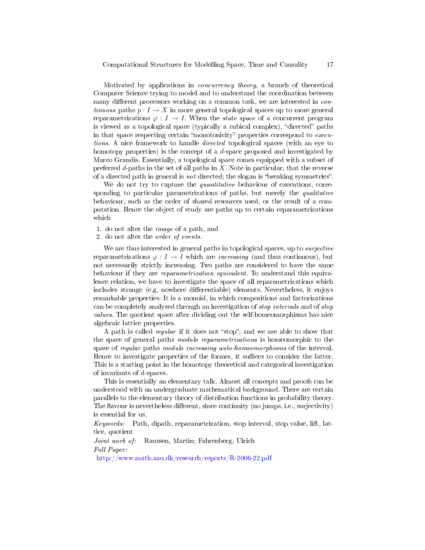Motivated by applications in concurrency theory, a branch of theoretical Computer Science trying to model and to understand the coordination between many different processors working on a common task, we are interested in *con*tinuous paths  $p: I \to X$  in more general topological spaces up to more general reparametrizations  $\varphi: I \to I$ . When the *state space* of a concurrent program is viewed as a topological space (typically a cubical complex), "directed" paths in that space respecting certain "monotonicity" properties correspond to executions. A nice framework to handle directed topological spaces (with an eye to homotopy properties) is the concept of a d-space proposed and investigated by Marco Grandis. Essentially, a topological space comes equipped with a subset of preferred  $d$ -paths in the set of all paths in  $X$ . Note in particular, that the reverse of a directed path in general is *not* directed; the slogan is "breaking symmetries".

We do not try to capture the *quantitative* behaviour of executions, corresponding to particular parametrizations of paths, but merely the *qualitative* behaviour, such as the order of shared resources used, or the result of a computation. Hence the object of study are paths up to certain reparametrizations which

- 1. do not alter the image of a path, and
- 2. do not alter the order of events.

We are thus interested in general paths in topological spaces, up to *surjective* reparametrizations  $\varphi: I \to I$  which are *increasing* (and thus continuous), but not necessarily strictly increasing. Two paths are considered to have the same behaviour if they are reparametrization equivalent. To understand this equivalence relation, we have to investigate the space of all reparametrizations which includes strange (e.g. nowhere differentiable) elements. Nevertheless, it enjoys remarkable properties: It is a monoid, in which compositions and factorizations can be completely analysed through an investigation of stop intervals and of stop values. The quotient space after dividing out the self-homeomorphisms has nice algebraic lattice properties.

A path is called *regular* if it does not "stop"; and we are able to show that the space of general paths modulo reparametrizations is homeomorphic to the space of regular paths modulo increasing auto-homeomorphisms of the interval. Hence to investigate properties of the former, it suffices to consider the latter. This is a starting point in the homotopy theoretical and categorical investigation of invariants of d-spaces.

This is essentially an elementary talk. Almost all concepts and proofs can be understood with an undergraduate mathematical background. There are certain parallels to the elementary theory of distribution functions in probability theory. The flavour is nevertheless different, since continuity (no jumps, i.e., surjectivity) is essential for us.

Keywords: Path, dipath, reparametrization, stop interval, stop value, lift, lattice, quotient

Joint work of: Raussen, Martin; Fahrenberg, Ulrich Full Paper:

<http://www.math.aau.dk/research/reports/R-2006-22.pdf>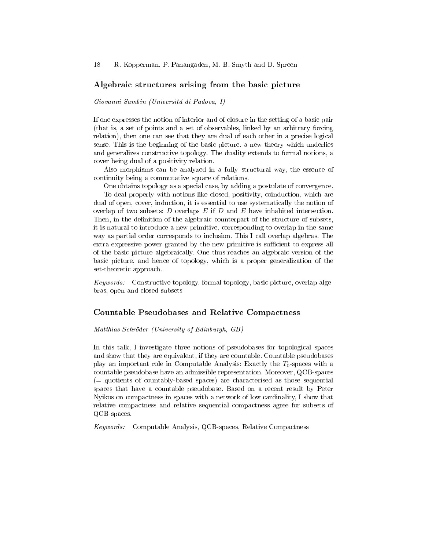### Algebraic structures arising from the basic picture

Giovanni Sambin (Universitá di Padova, I)

If one expresses the notion of interior and of closure in the setting of a basic pair (that is, a set of points and a set of observables, linked by an arbitrary forcing relation), then one can see that they are dual of each other in a precise logical sense. This is the beginning of the basic picture, a new theory which underlies and generalizes constructive topology. The duality extends to formal notions, a cover being dual of a positivity relation.

Also morphisms can be analyzed in a fully structural way, the essence of continuity being a commutative square of relations.

One obtains topology as a special case, by adding a postulate of convergence. To deal properly with notions like closed, positivity, coinduction, which are dual of open, cover, induction, it is essential to use systematically the notion of overlap of two subsets:  $D$  overlaps  $E$  if  $D$  and  $E$  have inhabited intersection. Then, in the definition of the algebraic counterpart of the structure of subsets, it is natural to introduce a new primitive, corresponding to overlap in the same way as partial order corresponds to inclusion. This I call overlap algebras. The extra expressive power granted by the new primitive is sufficient to express all of the basic picture algebraically. One thus reaches an algebraic version of the basic picture, and hence of topology, which is a proper generalization of the set-theoretic approach.

Keywords: Constructive topology, formal topology, basic picture, overlap algebras, open and closed subsets

#### Countable Pseudobases and Relative Compactness

#### Matthias Schröder (University of Edinburgh, GB)

In this talk, I investigate three notions of pseudobases for topological spaces and show that they are equivalent, if they are countable. Countable pseudobases play an important role in Computable Analysis: Exactly the  $T_0$ -spaces with a countable pseudobase have an admissible representation. Moreover, QCB-spaces (= quotients of countably-based spaces) are characterised as those sequential spaces that have a countable pseudobase. Based on a recent result by Peter Nyikos on compactness in spaces with a network of low cardinality, I show that relative compactness and relative sequential compactness agree for subsets of QCB-spaces.

Keywords: Computable Analysis, QCB-spaces, Relative Compactness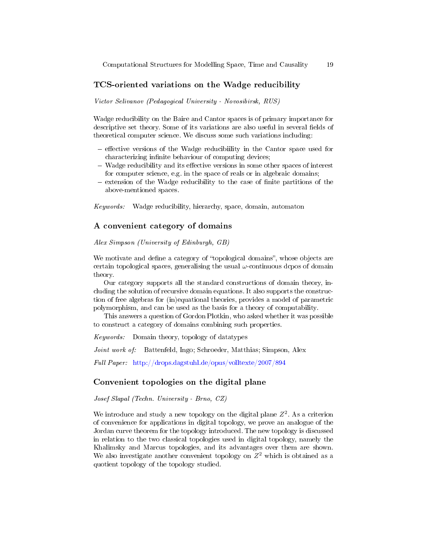# TCS-oriented variations on the Wadge reducibility

Victor Selivanov (Pedagogical University - Novosibirsk, RUS)

Wadge reducibility on the Baire and Cantor spaces is of primary importance for descriptive set theory. Some of its variations are also useful in several fields of theoretical computer science. We discuss some such variations including:

- $-$  effective versions of the Wadge reducibiility in the Cantor space used for characterizing infinite behaviour of computing devices;
- $-$  Wadge reducibility and its effective versions in some other spaces of interest for computer science, e.g. in the space of reals or in algebraic domains;
- $-$  extension of the Wadge reducibility to the case of finite partitions of the above-mentioned spaces.

Keywords: Wadge reducibility, hierarchy, space, domain, automaton

# A convenient category of domains

Alex Simpson (University of Edinburgh, GB)

We motivate and define a category of "topological domains", whose objects are certain topological spaces, generalising the usual  $\omega$ -continuous dcpos of domain theory.

Our category supports all the standard constructions of domain theory, including the solution of recursive domain equations. It also supports the construction of free algebras for (in)equational theories, provides a model of parametric polymorphism, and can be used as the basis for a theory of computability.

This answers a question of Gordon Plotkin, who asked whether it was possible to construct a category of domains combining such properties.

Keywords: Domain theory, topology of datatypes

Joint work of: Battenfeld, Ingo; Schroeder, Matthias; Simpson, Alex

Full Paper: <http://drops.dagstuhl.de/opus/volltexte/2007/894>

# Convenient topologies on the digital plane

Josef Slapal (Techn. University - Brno, CZ)

We introduce and study a new topology on the digital plane  $Z^2$ . As a criterion of convenience for applications in digital topology, we prove an analogue of the Jordan curve theorem for the topology introduced. The new topology is discussed in relation to the two classical topologies used in digital topology, namely the Khalimsky and Marcus topologies, and its advantages over them are shown. We also investigate another convenient topology on  $Z^2$  which is obtained as a quotient topology of the topology studied.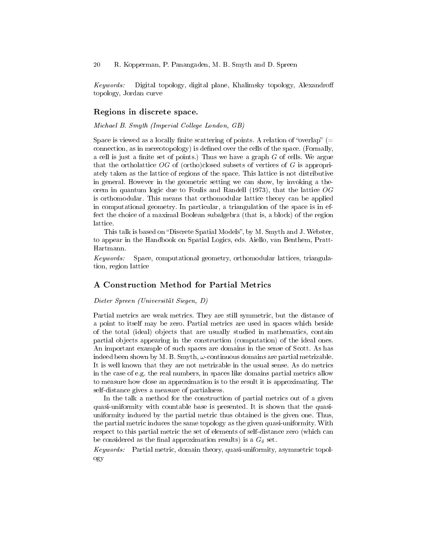Keywords: Digital topology, digital plane, Khalimsky topology, Alexandro topology, Jordan curve

#### Regions in discrete space.

Michael B. Smyth (Imperial College London, GB)

Space is viewed as a locally finite scattering of points. A relation of "overlap"  $(=$ connection, as in mereotopology) is defined over the cells of the space. (Formally, a cell is just a finite set of points.) Thus we have a graph  $G$  of cells. We argue that the ortholattice  $\overline{OG}$  of (ortho)closed subsets of vertices of  $G$  is appropriately taken as the lattice of regions of the space. This lattice is not distributive in general. However in the geometric setting we can show, by invoking a theorem in quantum logic due to Foulis and Randell (1973), that the lattice  $OG$ is orthomodular. This means that orthomodular lattice theory can be applied in computational geometry. In particular, a triangulation of the space is in effect the choice of a maximal Boolean subalgebra (that is, a block) of the region lattice.

This talk is based on "Discrete Spatial Models", by M. Smyth and J. Webster, to appear in the Handbook on Spatial Logics, eds. Aiello, van Benthem, Pratt-Hartmann.

Keywords: Space, computational geometry, orthomodular lattices, triangulation, region lattice

### A Construction Method for Partial Metrics

#### Dieter Spreen (Universität Siegen, D)

Partial metrics are weak metrics. They are still symmetric, but the distance of a point to itself may be zero. Partial metrics are used in spaces which beside of the total (ideal) objects that are usually studied in mathematics, contain partial objects appearing in the construction (computation) of the ideal ones. An important example of such spaces are domains in the sense of Scott. As has indeed been shown by M. B. Smyth,  $\omega$ -continuous domains are partial metrizable. It is well known that they are not metrizable in the usual sense. As do metrics in the case of e.g. the real numbers, in spaces like domains partial metrics allow to measure how close an approximation is to the result it is approximating. The self-distance gives a measure of partialness.

In the talk a method for the construction of partial metrics out of a given quasi-uniformity with countable base is presented. It is shown that the quasiuniformity induced by the partial metric thus obtained is the given one. Thus, the partial metric induces the same topology as the given quasi-uniformity. With respect to this partial metric the set of elements of self-distance zero (which can be considered as the final approximation results) is a  $G_{\delta}$  set.

Keywords: Partial metric, domain theory, quasi-uniformity, asymmetric topology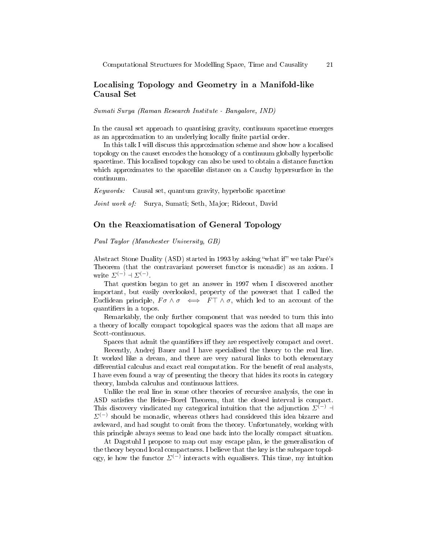# Localising Topology and Geometry in a Manifold-like Causal Set

Sumati Surya (Raman Research Institute - Bangalore, IND)

In the causal set approach to quantising gravity, continuum spacetime emerges as an approximation to an underlying locally finite partial order.

In this talk I will discuss this approximation scheme and show how a localised topology on the causet encodes the homology of a continuum globally hyperbolic spacetime. This localised topology can also be used to obtain a distance function which approximates to the spacelike distance on a Cauchy hypersurface in the continuum.

Keywords: Causal set, quantum gravity, hyperbolic spacetime

Joint work of: Surya, Sumati; Seth, Major; Rideout, David

### On the Reaxiomatisation of General Topology

Paul Taylor (Manchester University, GB)

Abstract Stone Duality (ASD) started in 1993 by asking "what if" we take Paré's Theorem (that the contravariant powerset functor is monadic) as an axiom. I write  $\Sigma^{(-)}$  +  $\Sigma^{(-)}$ .

That question began to get an answer in 1997 when I discovered another important, but easily overlooked, property of the powerset that I called the Euclidean principle,  $F \sigma \wedge \sigma \iff F \top \wedge \sigma$ , which led to an account of the quantifiers in a topos.

Remarkably, the only further component that was needed to turn this into a theory of locally compact topological spaces was the axiom that all maps are Scott-continuous.

Spaces that admit the quantifiers iff they are respectively compact and overt.

Recently, Andrej Bauer and I have specialised the theory to the real line. It worked like a dream, and there are very natural links to both elementary differential calculus and exact real computation. For the benefit of real analysts, I have even found a way of presenting the theory that hides its roots in category theory, lambda calculus and continuous lattices.

Unlike the real line in some other theories of recursive analysis, the one in ASD satisfies the Heine-Borel Theorem, that the closed interval is compact. This discovery vindicated my categorical intuition that the adjunction  $\Sigma^{(-)}$  +  $\Sigma^{(-)}$  should be monadic, whereas others had considered this idea bizarre and awkward, and had sought to omit from the theory. Unfortunately, working with this principle always seems to lead one back into the locally compact situation.

At Dagstuhl I propose to map out may escape plan, ie the generalisation of the theory beyond local compactness. I believe that the key is the subspace topology, ie how the functor  $\Sigma^{(-)}$  interacts with equalisers. This time, my intuition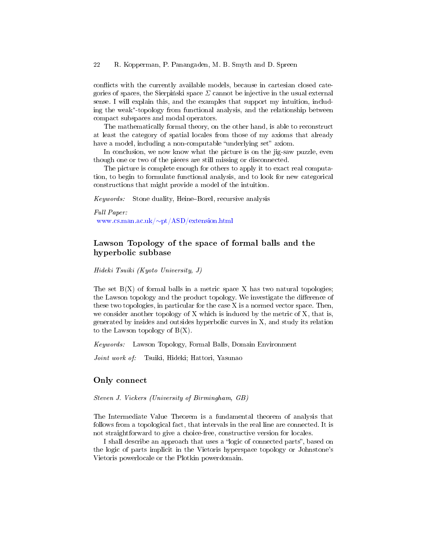conflicts with the currently available models, because in cartesian closed categories of spaces, the Sierpinski space  $\Sigma$  cannot be injective in the usual external sense. I will explain this, and the examples that support my intuition, including the weak<sup>∗</sup> -topology from functional analysis, and the relationship between compact subspaces and modal operators.

The mathematically formal theory, on the other hand, is able to reconstruct at least the category of spatial locales from those of my axioms that already have a model, including a non-computable "underlying set" axiom.

In conclusion, we now know what the picture is on the jig-saw puzzle, even though one or two of the pieces are still missing or disconnected.

The picture is complete enough for others to apply it to exact real computation, to begin to formulate functional analysis, and to look for new categorical constructions that might provide a model of the intuition.

Keywords: Stone duality, Heine-Borel, recursive analysis

Full Paper:

www.cs.man.ac.uk/∼[pt/ASD/extension.html](file:www.cs.man.ac.uk/~pt/ASD/extension.html)

# Lawson Topology of the space of formal balls and the hyperbolic subbase

Hideki Tsuiki (Kyoto University, J)

The set  $B(X)$  of formal balls in a metric space X has two natural topologies; the Lawson topology and the product topology. We investigate the difference of these two topologies, in particular for the case X is a normed vector space. Then, we consider another topology of  $X$  which is induced by the metric of  $X$ , that is, generated by insides and outsides hyperbolic curves in X, and study its relation to the Lawson topology of  $B(X)$ .

Keywords: Lawson Topology, Formal Balls, Domain Environment

Joint work of: Tsuiki, Hideki; Hattori, Yasunao

#### Only connect

Steven J. Vickers (University of Birmingham, GB)

The Intermediate Value Theorem is a fundamental theorem of analysis that follows from a topological fact, that intervals in the real line are connected. It is not straightforward to give a choice-free, constructive version for locales.

I shall describe an approach that uses a "logic of connected parts", based on the logic of parts implicit in the Vietoris hyperspace topology or Johnstone's Vietoris powerlocale or the Plotkin powerdomain.